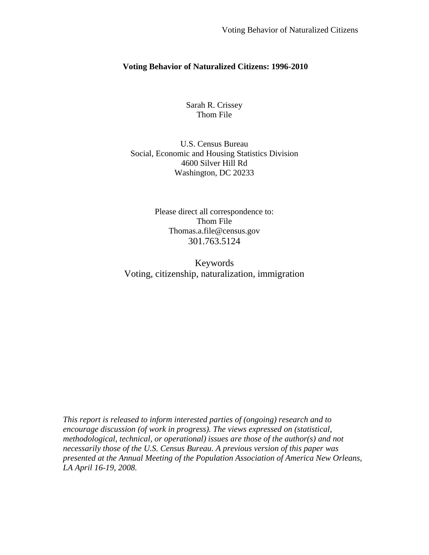# **Voting Behavior of Naturalized Citizens: 1996-2010**

Sarah R. Crissey Thom File

U.S. Census Bureau Social, Economic and Housing Statistics Division 4600 Silver Hill Rd Washington, DC 20233

> Please direct all correspondence to: Thom File Thomas.a.file@census.gov 301.763.5124

Keywords Voting, citizenship, naturalization, immigration

<span id="page-0-0"></span>*This report is released to inform interested parties of (ongoing) research and to encourage discussion (of work in progress). The views expressed on (statistical, methodological, technical, or operational) issues are those of the author(s) and not necessarily those of the U.S. Census Bureau. A previous version of this paper was presented at the Annual Meeting of the Population Association of America New Orleans, LA April 16-19, 2008.*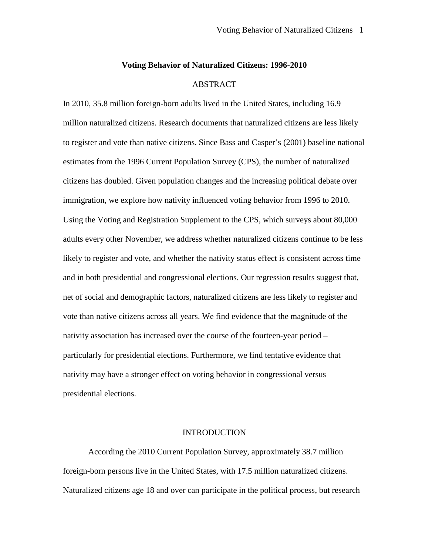#### **Voting Behavior of Naturalized Citizens: 1996-2010**

## ABSTRACT

In 2010, 35.8 million foreign-born adults lived in the United States, including 16.9 million naturalized citizens. Research documents that naturalized citizens are less likely to register and vote than native citizens. Since Bass and Casper's (2001) baseline national estimates from the 1996 Current Population Survey (CPS), the number of naturalized citizens has doubled. Given population changes and the increasing political debate over immigration, we explore how nativity influenced voting behavior from 1996 to 2010. Using the Voting and Registration Supplement to the CPS, which surveys about 80,000 adults every other November, we address whether naturalized citizens continue to be less likely to register and vote, and whether the nativity status effect is consistent across time and in both presidential and congressional elections. Our regression results suggest that, net of social and demographic factors, naturalized citizens are less likely to register and vote than native citizens across all years. We find evidence that the magnitude of the nativity association has increased over the course of the fourteen-year period – particularly for presidential elections. Furthermore, we find tentative evidence that nativity may have a stronger effect on voting behavior in congressional versus presidential elections.

## INTRODUCTION

According the 2010 Current Population Survey, approximately 38.7 million foreign-born persons live in the United States, with 17.5 million naturalized citizens. Naturalized citizens age 18 and over can participate in the political process, but research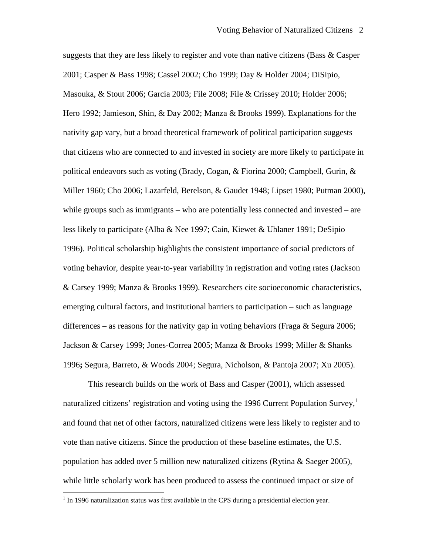suggests that they are less likely to register and vote than native citizens (Bass & Casper 2001; Casper & Bass 1998; Cassel 2002; Cho 1999; Day & Holder 2004; DiSipio, Masouka, & Stout 2006; Garcia 2003; File 2008; File & Crissey 2010; Holder 2006; Hero 1992; Jamieson, Shin, & Day 2002; Manza & Brooks 1999). Explanations for the nativity gap vary, but a broad theoretical framework of political participation suggests that citizens who are connected to and invested in society are more likely to participate in political endeavors such as voting (Brady, Cogan, & Fiorina 2000; Campbell, Gurin, & Miller 1960; Cho 2006; Lazarfeld, Berelson, & Gaudet 1948; Lipset 1980; Putman 2000), while groups such as immigrants – who are potentially less connected and invested – are less likely to participate (Alba & Nee 1997; Cain, Kiewet & Uhlaner 1991; DeSipio 1996). Political scholarship highlights the consistent importance of social predictors of voting behavior, despite year-to-year variability in registration and voting rates (Jackson & Carsey 1999; Manza & Brooks 1999). Researchers cite socioeconomic characteristics, emerging cultural factors, and institutional barriers to participation – such as language differences – as reasons for the nativity gap in voting behaviors (Fraga  $&$  Segura 2006; Jackson & Carsey 1999; Jones-Correa 2005; Manza & Brooks 1999; Miller & Shanks 1996**;** Segura, Barreto, & Woods 2004; Segura, Nicholson, & Pantoja 2007; Xu 2005).

This research builds on the work of Bass and Casper (2001), which assessed naturalized citizens' registration and voting using the [1](#page-0-0)996 Current Population Survey,<sup>1</sup> and found that net of other factors, naturalized citizens were less likely to register and to vote than native citizens. Since the production of these baseline estimates, the U.S. population has added over 5 million new naturalized citizens (Rytina & Saeger 2005), while little scholarly work has been produced to assess the continued impact or size of

<span id="page-2-0"></span> $<sup>1</sup>$  In 1996 naturalization status was first available in the CPS during a presidential election year.</sup>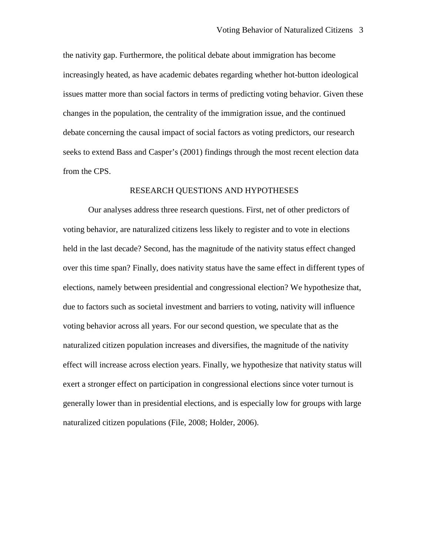the nativity gap. Furthermore, the political debate about immigration has become increasingly heated, as have academic debates regarding whether hot-button ideological issues matter more than social factors in terms of predicting voting behavior. Given these changes in the population, the centrality of the immigration issue, and the continued debate concerning the causal impact of social factors as voting predictors, our research seeks to extend Bass and Casper's (2001) findings through the most recent election data from the CPS.

#### RESEARCH QUESTIONS AND HYPOTHESES

Our analyses address three research questions. First, net of other predictors of voting behavior, are naturalized citizens less likely to register and to vote in elections held in the last decade? Second, has the magnitude of the nativity status effect changed over this time span? Finally, does nativity status have the same effect in different types of elections, namely between presidential and congressional election? We hypothesize that, due to factors such as societal investment and barriers to voting, nativity will influence voting behavior across all years. For our second question, we speculate that as the naturalized citizen population increases and diversifies, the magnitude of the nativity effect will increase across election years. Finally, we hypothesize that nativity status will exert a stronger effect on participation in congressional elections since voter turnout is generally lower than in presidential elections, and is especially low for groups with large naturalized citizen populations (File, 2008; Holder, 2006).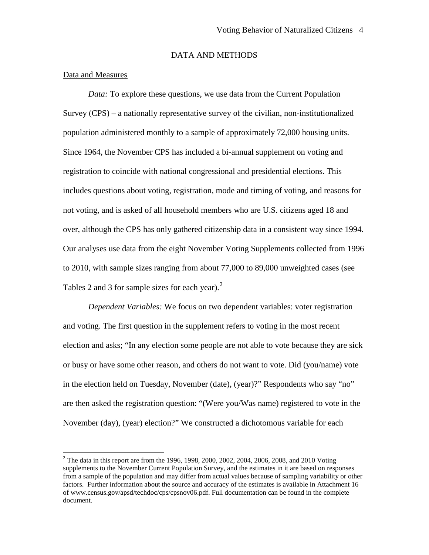# DATA AND METHODS

## Data and Measures

*Data:* To explore these questions, we use data from the Current Population Survey (CPS) – a nationally representative survey of the civilian, non-institutionalized population administered monthly to a sample of approximately 72,000 housing units. Since 1964, the November CPS has included a bi-annual supplement on voting and registration to coincide with national congressional and presidential elections. This includes questions about voting, registration, mode and timing of voting, and reasons for not voting, and is asked of all household members who are U.S. citizens aged 18 and over, although the CPS has only gathered citizenship data in a consistent way since 1994. Our analyses use data from the eight November Voting Supplements collected from 1996 to 2010, with sample sizes ranging from about 77,000 to 89,000 unweighted cases (see Tables [2](#page-2-0) and 3 for sample sizes for each year). $<sup>2</sup>$ </sup>

*Dependent Variables:* We focus on two dependent variables: voter registration and voting. The first question in the supplement refers to voting in the most recent election and asks; "In any election some people are not able to vote because they are sick or busy or have some other reason, and others do not want to vote. Did (you/name) vote in the election held on Tuesday, November (date), (year)?" Respondents who say "no" are then asked the registration question: "(Were you/Was name) registered to vote in the November (day), (year) election?" We constructed a dichotomous variable for each

<span id="page-4-0"></span> $2$  The data in this report are from the 1996, 1998, 2000, 2002, 2004, 2006, 2008, and 2010 Voting supplements to the November Current Population Survey, and the estimates in it are based on responses from a sample of the population and may differ from actual values because of sampling variability or other factors. Further information about the source and accuracy of the estimates is available in Attachment 16 of www.census.gov/apsd/techdoc/cps/cpsnov06.pdf. Full documentation can be found in the complete document.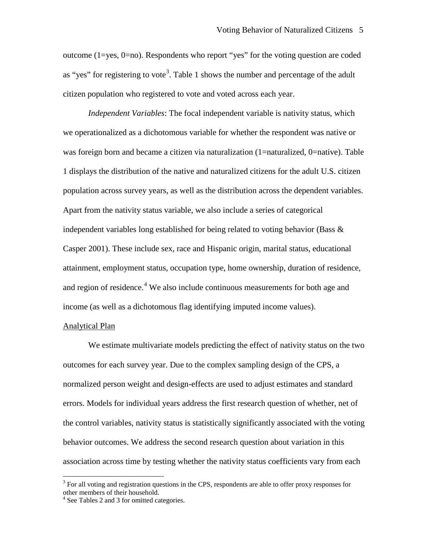outcome (1=yes, 0=no). Respondents who report "yes" for the voting question are coded as "yes" for registering to vote<sup>[3](#page-4-0)</sup>. Table 1 shows the number and percentage of the adult citizen population who registered to vote and voted across each year.

*Independent Variables*: The focal independent variable is nativity status, which we operationalized as a dichotomous variable for whether the respondent was native or was foreign born and became a citizen via naturalization (1=naturalized, 0=native). Table 1 displays the distribution of the native and naturalized citizens for the adult U.S. citizen population across survey years, as well as the distribution across the dependent variables. Apart from the nativity status variable, we also include a series of categorical independent variables long established for being related to voting behavior (Bass  $\&$ Casper 2001). These include sex, race and Hispanic origin, marital status, educational attainment, employment status, occupation type, home ownership, duration of residence, and region of residence.<sup>[4](#page-5-0)</sup> We also include continuous measurements for both age and income (as well as a dichotomous flag identifying imputed income values).

#### Analytical Plan

We estimate multivariate models predicting the effect of nativity status on the two outcomes for each survey year. Due to the complex sampling design of the CPS, a normalized person weight and design-effects are used to adjust estimates and standard errors. Models for individual years address the first research question of whether, net of the control variables, nativity status is statistically significantly associated with the voting behavior outcomes. We address the second research question about variation in this association across time by testing whether the nativity status coefficients vary from each

<span id="page-5-1"></span><sup>&</sup>lt;sup>3</sup> For all voting and registration questions in the CPS, respondents are able to offer proxy responses for other members of their household.

<span id="page-5-0"></span><sup>&</sup>lt;sup>4</sup> See Tables 2 and 3 for omitted categories.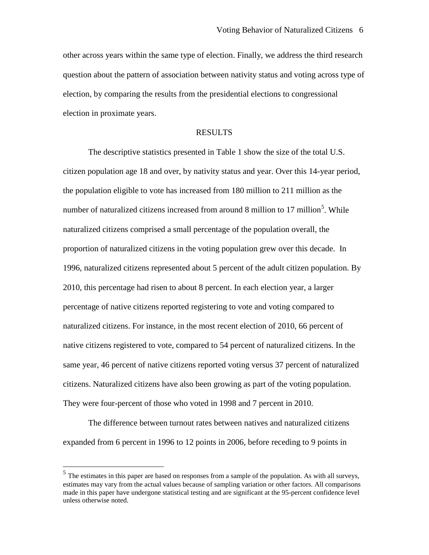other across years within the same type of election. Finally, we address the third research question about the pattern of association between nativity status and voting across type of election, by comparing the results from the presidential elections to congressional election in proximate years.

## RESULTS

The descriptive statistics presented in Table 1 show the size of the total U.S. citizen population age 18 and over, by nativity status and year. Over this 14-year period, the population eligible to vote has increased from 180 million to 211 million as the number of naturalized citizens increased from around 8 million to 17 million<sup>[5](#page-5-1)</sup>. While naturalized citizens comprised a small percentage of the population overall, the proportion of naturalized citizens in the voting population grew over this decade. In 1996, naturalized citizens represented about 5 percent of the adult citizen population. By 2010, this percentage had risen to about 8 percent. In each election year, a larger percentage of native citizens reported registering to vote and voting compared to naturalized citizens. For instance, in the most recent election of 2010, 66 percent of native citizens registered to vote, compared to 54 percent of naturalized citizens. In the same year, 46 percent of native citizens reported voting versus 37 percent of naturalized citizens. Naturalized citizens have also been growing as part of the voting population. They were four-percent of those who voted in 1998 and 7 percent in 2010.

The difference between turnout rates between natives and naturalized citizens expanded from 6 percent in 1996 to 12 points in 2006, before receding to 9 points in

<span id="page-6-0"></span> $<sup>5</sup>$  The estimates in this paper are based on responses from a sample of the population. As with all surveys,</sup> estimates may vary from the actual values because of sampling variation or other factors. All comparisons made in this paper have undergone statistical testing and are significant at the 95-percent confidence level unless otherwise noted.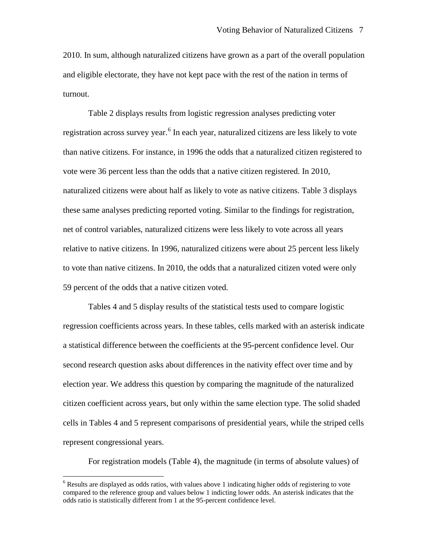2010. In sum, although naturalized citizens have grown as a part of the overall population and eligible electorate, they have not kept pace with the rest of the nation in terms of turnout.

Table 2 displays results from logistic regression analyses predicting voter registration across survey year.<sup>[6](#page-6-0)</sup> In each year, naturalized citizens are less likely to vote than native citizens. For instance, in 1996 the odds that a naturalized citizen registered to vote were 36 percent less than the odds that a native citizen registered. In 2010, naturalized citizens were about half as likely to vote as native citizens. Table 3 displays these same analyses predicting reported voting. Similar to the findings for registration, net of control variables, naturalized citizens were less likely to vote across all years relative to native citizens. In 1996, naturalized citizens were about 25 percent less likely to vote than native citizens. In 2010, the odds that a naturalized citizen voted were only 59 percent of the odds that a native citizen voted.

Tables 4 and 5 display results of the statistical tests used to compare logistic regression coefficients across years. In these tables, cells marked with an asterisk indicate a statistical difference between the coefficients at the 95-percent confidence level. Our second research question asks about differences in the nativity effect over time and by election year. We address this question by comparing the magnitude of the naturalized citizen coefficient across years, but only within the same election type. The solid shaded cells in Tables 4 and 5 represent comparisons of presidential years, while the striped cells represent congressional years.

For registration models (Table 4), the magnitude (in terms of absolute values) of

<sup>&</sup>lt;sup>6</sup> Results are displayed as odds ratios, with values above 1 indicating higher odds of registering to vote compared to the reference group and values below 1 indicting lower odds. An asterisk indicates that the odds ratio is statistically different from 1 at the 95-percent confidence level.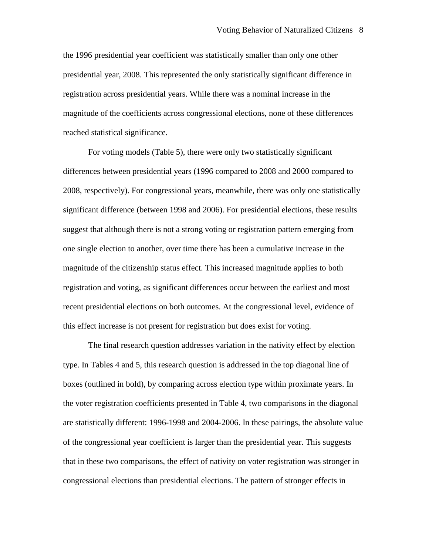the 1996 presidential year coefficient was statistically smaller than only one other presidential year, 2008. This represented the only statistically significant difference in registration across presidential years. While there was a nominal increase in the magnitude of the coefficients across congressional elections, none of these differences reached statistical significance.

For voting models (Table 5), there were only two statistically significant differences between presidential years (1996 compared to 2008 and 2000 compared to 2008, respectively). For congressional years, meanwhile, there was only one statistically significant difference (between 1998 and 2006). For presidential elections, these results suggest that although there is not a strong voting or registration pattern emerging from one single election to another, over time there has been a cumulative increase in the magnitude of the citizenship status effect. This increased magnitude applies to both registration and voting, as significant differences occur between the earliest and most recent presidential elections on both outcomes. At the congressional level, evidence of this effect increase is not present for registration but does exist for voting.

The final research question addresses variation in the nativity effect by election type. In Tables 4 and 5, this research question is addressed in the top diagonal line of boxes (outlined in bold), by comparing across election type within proximate years. In the voter registration coefficients presented in Table 4, two comparisons in the diagonal are statistically different: 1996-1998 and 2004-2006. In these pairings, the absolute value of the congressional year coefficient is larger than the presidential year. This suggests that in these two comparisons, the effect of nativity on voter registration was stronger in congressional elections than presidential elections. The pattern of stronger effects in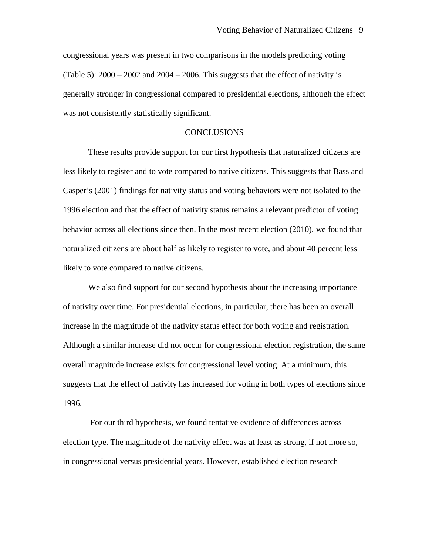congressional years was present in two comparisons in the models predicting voting (Table 5):  $2000 - 2002$  and  $2004 - 2006$ . This suggests that the effect of nativity is generally stronger in congressional compared to presidential elections, although the effect was not consistently statistically significant.

## **CONCLUSIONS**

These results provide support for our first hypothesis that naturalized citizens are less likely to register and to vote compared to native citizens. This suggests that Bass and Casper's (2001) findings for nativity status and voting behaviors were not isolated to the 1996 election and that the effect of nativity status remains a relevant predictor of voting behavior across all elections since then. In the most recent election (2010), we found that naturalized citizens are about half as likely to register to vote, and about 40 percent less likely to vote compared to native citizens.

We also find support for our second hypothesis about the increasing importance of nativity over time. For presidential elections, in particular, there has been an overall increase in the magnitude of the nativity status effect for both voting and registration. Although a similar increase did not occur for congressional election registration, the same overall magnitude increase exists for congressional level voting. At a minimum, this suggests that the effect of nativity has increased for voting in both types of elections since 1996.

For our third hypothesis, we found tentative evidence of differences across election type. The magnitude of the nativity effect was at least as strong, if not more so, in congressional versus presidential years. However, established election research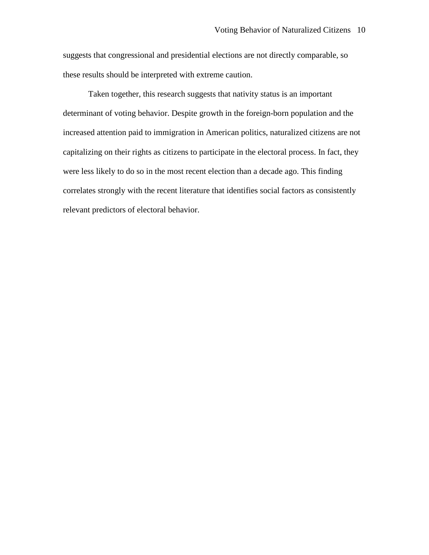suggests that congressional and presidential elections are not directly comparable, so these results should be interpreted with extreme caution.

Taken together, this research suggests that nativity status is an important determinant of voting behavior. Despite growth in the foreign-born population and the increased attention paid to immigration in American politics, naturalized citizens are not capitalizing on their rights as citizens to participate in the electoral process. In fact, they were less likely to do so in the most recent election than a decade ago. This finding correlates strongly with the recent literature that identifies social factors as consistently relevant predictors of electoral behavior.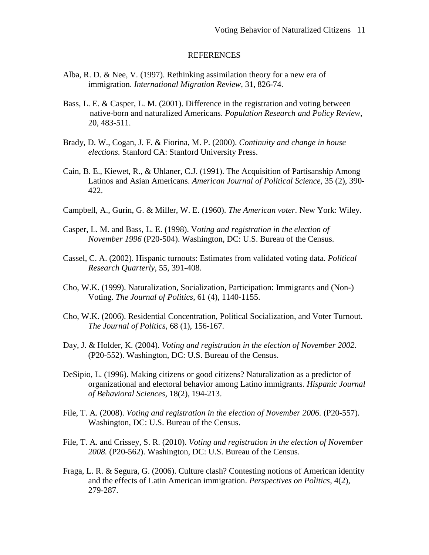### **REFERENCES**

- Alba, R. D. & Nee, V. (1997). Rethinking assimilation theory for a new era of immigration. *International Migration Review*, 31, 826-74.
- Bass, L. E. & Casper, L. M. (2001). Difference in the registration and voting between native-born and naturalized Americans. *Population Research and Policy Review*, 20, 483-511.
- Brady, D. W., Cogan, J. F. & Fiorina, M. P. (2000). *Continuity and change in house elections.* Stanford CA: Stanford University Press.
- Cain, B. E., Kiewet, R., & Uhlaner, C.J. (1991). The Acquisition of Partisanship Among Latinos and Asian Americans. *American Journal of Political Science,* 35 (2), 390- 422.
- Campbell, A., Gurin, G. & Miller, W. E. (1960). *The American voter*. New York: Wiley.
- Casper, L. M. and Bass, L. E. (1998). V*oting and registration in the election of November 1996* (P20-504). Washington, DC: U.S. Bureau of the Census.
- Cassel, C. A. (2002). Hispanic turnouts: Estimates from validated voting data. *Political Research Quarterly*, 55, 391-408.
- Cho, W.K. (1999). Naturalization, Socialization, Participation: Immigrants and (Non-) Voting. *The Journal of Politics,* 61 (4), 1140-1155.
- Cho, W.K. (2006). Residential Concentration, Political Socialization, and Voter Turnout. *The Journal of Politics,* 68 (1), 156-167.
- Day, J. & Holder, K. (2004). *Voting and registration in the election of November 2002.*  (P20-552). Washington, DC: U.S. Bureau of the Census.
- DeSipio, L. (1996). Making citizens or good citizens? Naturalization as a predictor of organizational and electoral behavior among Latino immigrants. *Hispanic Journal of Behavioral Sciences,* 18(2), 194-213.
- File, T. A. (2008). *Voting and registration in the election of November 2006.* (P20-557). Washington, DC: U.S. Bureau of the Census.
- File, T. A. and Crissey, S. R. (2010). *Voting and registration in the election of November 2008.* (P20-562). Washington, DC: U.S. Bureau of the Census.
- Fraga, L. R. & Segura, G. (2006). Culture clash? Contesting notions of American identity and the effects of Latin American immigration. *Perspectives on Politics*, 4(2), 279-287.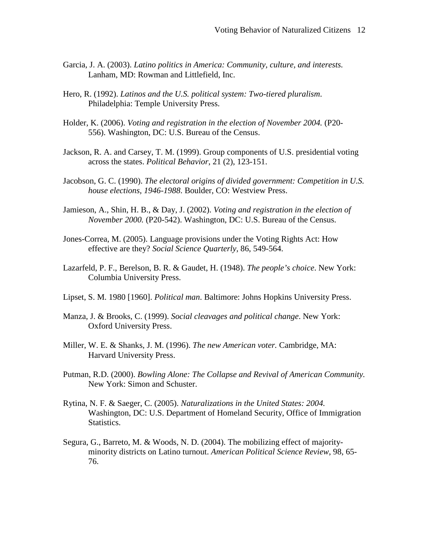- Garcia, J. A. (2003). *Latino politics in America: Community, culture, and interests.*  Lanham, MD: Rowman and Littlefield, Inc.
- Hero, R. (1992). *Latinos and the U.S. political system: Two-tiered pluralism*. Philadelphia: Temple University Press.
- Holder, K. (2006). *Voting and registration in the election of November 2004.* (P20- 556). Washington, DC: U.S. Bureau of the Census.
- Jackson, R. A. and Carsey, T. M. (1999). Group components of U.S. presidential voting across the states. *Political Behavior*, 21 (2), 123-151.
- Jacobson, G. C. (1990). *The electoral origins of divided government: Competition in U.S. house elections, 1946-1988*. Boulder, CO: Westview Press.
- Jamieson, A., Shin, H. B., & Day, J. (2002). *Voting and registration in the election of November 2000.* (P20-542). Washington, DC: U.S. Bureau of the Census.
- Jones-Correa, M. (2005). Language provisions under the Voting Rights Act: How effective are they? *Social Science Quarterly,* 86, 549-564.
- Lazarfeld, P. F., Berelson, B. R. & Gaudet, H. (1948). *The people's choice*. New York: Columbia University Press.
- Lipset, S. M. 1980 [1960]. *Political man*. Baltimore: Johns Hopkins University Press.
- Manza, J. & Brooks, C. (1999). *Social cleavages and political change*. New York: Oxford University Press.
- Miller, W. E. & Shanks, J. M. (1996). *The new American voter.* Cambridge, MA: Harvard University Press.
- Putman, R.D. (2000). *Bowling Alone: The Collapse and Revival of American Community.*  New York: Simon and Schuster.
- Rytina, N. F. & Saeger, C. (2005). *Naturalizations in the United States: 2004.* Washington, DC: U.S. Department of Homeland Security, Office of Immigration Statistics.
- Segura, G., Barreto, M. & Woods, N. D. (2004). The mobilizing effect of majorityminority districts on Latino turnout. *American Political Science Review*, 98, 65- 76.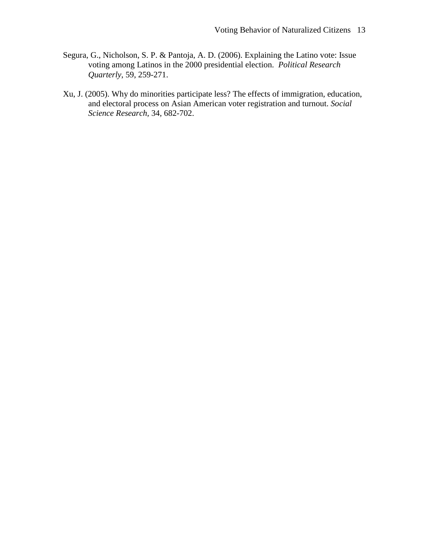- Segura, G., Nicholson, S. P. & Pantoja, A. D. (2006). Explaining the Latino vote: Issue voting among Latinos in the 2000 presidential election. *Political Research Quarterly*, 59, 259-271.
- Xu, J. (2005). Why do minorities participate less? The effects of immigration, education, and electoral process on Asian American voter registration and turnout. *Social Science Research,* 34, 682-702.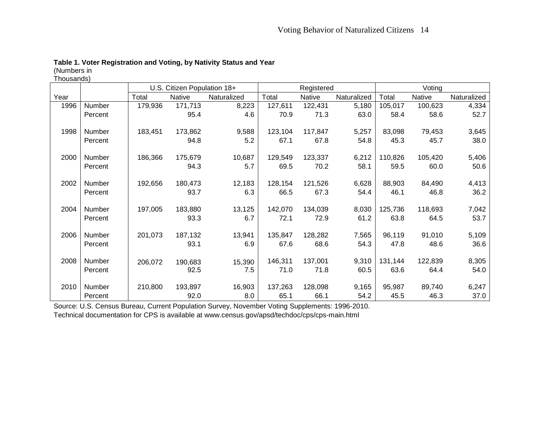# **Table 1. Voter Registration and Voting, by Nativity Status and Year**

(Numbers in Thousands)

|      |         | U.S. Citizen Population 18+ |         |             |         | Registered |             | Voting  |         |             |
|------|---------|-----------------------------|---------|-------------|---------|------------|-------------|---------|---------|-------------|
| Year |         | Total                       | Native  | Naturalized | Total   | Native     | Naturalized | Total   | Native  | Naturalized |
| 1996 | Number  | 179,936                     | 171,713 | 8,223       | 127,611 | 122,431    | 5,180       | 105,017 | 100,623 | 4,334       |
|      | Percent |                             | 95.4    | 4.6         | 70.9    | 71.3       | 63.0        | 58.4    | 58.6    | 52.7        |
| 1998 | Number  | 183,451                     | 173,862 | 9,588       | 123,104 | 117,847    | 5,257       | 83,098  | 79,453  | 3,645       |
|      | Percent |                             | 94.8    | 5.2         | 67.1    | 67.8       | 54.8        | 45.3    | 45.7    | 38.0        |
| 2000 | Number  | 186,366                     | 175,679 | 10,687      | 129,549 | 123,337    | 6,212       | 110,826 | 105,420 | 5,406       |
|      | Percent |                             | 94.3    | 5.7         | 69.5    | 70.2       | 58.1        | 59.5    | 60.0    | 50.6        |
| 2002 | Number  | 192,656                     | 180,473 | 12,183      | 128,154 | 121,526    | 6,628       | 88,903  | 84,490  | 4,413       |
|      | Percent |                             | 93.7    | 6.3         | 66.5    | 67.3       | 54.4        | 46.1    | 46.8    | 36.2        |
| 2004 | Number  | 197,005                     | 183,880 | 13,125      | 142,070 | 134,039    | 8,030       | 125,736 | 118,693 | 7,042       |
|      | Percent |                             | 93.3    | 6.7         | 72.1    | 72.9       | 61.2        | 63.8    | 64.5    | 53.7        |
| 2006 | Number  | 201,073                     | 187,132 | 13,941      | 135,847 | 128,282    | 7,565       | 96,119  | 91,010  | 5,109       |
|      | Percent |                             | 93.1    | 6.9         | 67.6    | 68.6       | 54.3        | 47.8    | 48.6    | 36.6        |
| 2008 | Number  | 206,072                     | 190,683 | 15,390      | 146,311 | 137,001    | 9,310       | 131,144 | 122,839 | 8,305       |
|      | Percent |                             | 92.5    | 7.5         | 71.0    | 71.8       | 60.5        | 63.6    | 64.4    | 54.0        |
| 2010 | Number  | 210,800                     | 193,897 | 16,903      | 137,263 | 128,098    | 9,165       | 95,987  | 89,740  | 6,247       |
|      | Percent |                             | 92.0    | 8.0         | 65.1    | 66.1       | 54.2        | 45.5    | 46.3    | 37.0        |

Source: U.S. Census Bureau, Current Population Survey, November Voting Supplements: 1996-2010.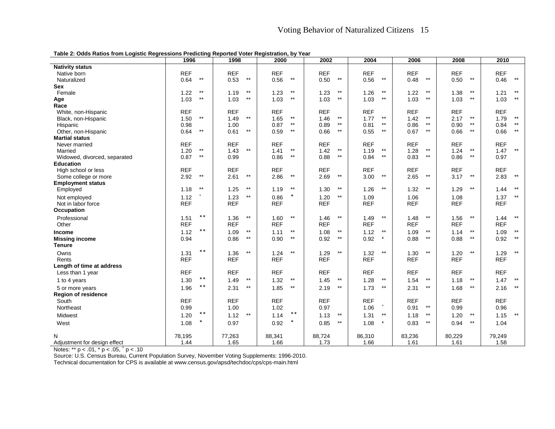|  |  |  | Table 2: Odds Ratios from Logistic Regressions Predicting Reported Voter Registration, by Year |
|--|--|--|------------------------------------------------------------------------------------------------|
|--|--|--|------------------------------------------------------------------------------------------------|

|                                                 | 1996                    | 1998                    | 2000                    | 2002                    | 2004                    | 2006                 | 2008                    | 2010                       |
|-------------------------------------------------|-------------------------|-------------------------|-------------------------|-------------------------|-------------------------|----------------------|-------------------------|----------------------------|
| <b>Nativity status</b>                          |                         |                         |                         |                         |                         |                      |                         |                            |
| Native born                                     | <b>REF</b>              | <b>REF</b>              | <b>REF</b>              | <b>REF</b>              | <b>REF</b>              | <b>REF</b>           | <b>REF</b>              | <b>REF</b>                 |
| Naturalized                                     | $^{\star\star}$<br>0.64 | $^{\star\star}$<br>0.53 | $\star\star$<br>0.56    | $^{\star\star}$<br>0.50 | 0.56<br>$^{\star\star}$ | $\star\star$<br>0.48 | 0.50<br>$^{\star\star}$ | $\star\star$<br>0.46       |
| Sex                                             |                         |                         |                         |                         |                         |                      |                         |                            |
| Female                                          | $^{\star\star}$<br>1.22 | $^{\star\star}$<br>1.19 | $^{\star\star}$<br>1.23 | $^{\star\star}$<br>1.23 | $^{\star\star}$<br>1.26 | $***$<br>1.22        | $***$<br>1.38           | $^{\star\star}$<br>1.21    |
| Age                                             | $\star\star$<br>1.03    | $\star\star$<br>1.03    | 1.03<br>$***$           | $^{\star\star}$<br>1.03 | 1.03<br>$^{\star\star}$ | $***$<br>1.03        | $^{\star\star}$<br>1.03 | 1.03<br>$***$              |
| Race                                            |                         |                         |                         |                         |                         |                      |                         |                            |
| White, non-Hispanic                             | <b>REF</b>              | <b>REF</b>              | <b>REF</b>              | <b>REF</b>              | <b>REF</b>              | <b>REF</b>           | <b>REF</b>              | <b>REF</b>                 |
| Black, non-Hispanic                             | $\star\star$<br>1.50    | $\star\star$<br>1.49    | $\star\star$<br>1.65    | $^{\star\star}$<br>1.46 | $\star\star$<br>1.77    | $***$<br>1.42        | $\star\star$<br>2.17    | $\star\star$<br>1.79       |
| Hispanic                                        | 0.98                    | 1.00                    | $***$<br>0.87           | $^{\star\star}$<br>0.89 | $^{\star\star}$<br>0.81 | $***$<br>0.86        | $***$<br>0.90           | $***$<br>0.84              |
| Other, non-Hispanic                             | $\star\star$<br>0.64    | $\star\star$<br>0.61    | $\star\star$<br>0.59    | $^{\star\star}$<br>0.66 | $^{\star\star}$<br>0.55 | $***$<br>0.67        | $^{\star\star}$<br>0.66 | $\star\star$<br>0.66       |
| <b>Martial status</b>                           |                         |                         |                         |                         |                         |                      |                         |                            |
| Never married                                   | <b>REF</b>              | <b>REF</b>              | <b>REF</b>              | <b>REF</b>              | <b>REF</b>              | <b>REF</b>           | <b>REF</b>              | <b>REF</b>                 |
| Married                                         | $\star\star$<br>1.20    | $\star\star$<br>1.43    | $\star\star$<br>1.41    | $^{\star\star}$<br>1.42 | $***$<br>1.19           | $***$<br>1.28        | $***$<br>1.24           | $***$<br>1.47              |
| Widowed, divorced, separated                    | $^{\star\star}$<br>0.87 | 0.99                    | $^{\star\star}$<br>0.86 | 0.88<br>$^{\star\star}$ | $^{\star\star}$<br>0.84 | $\star\star$<br>0.83 | 0.86<br>$***$           | 0.97                       |
| <b>Education</b>                                |                         |                         |                         |                         |                         |                      |                         |                            |
| High school or less                             | <b>REF</b>              | <b>REF</b>              | <b>REF</b>              | <b>REF</b>              | <b>REF</b>              | <b>REF</b>           | <b>REF</b>              | <b>REF</b><br>$\star\star$ |
| Some college or more                            | $^{\star\star}$<br>2.92 | $^{\star\star}$<br>2.61 | $^{\star\star}$<br>2.86 | $\star\star$<br>2.69    | 3.00<br>$^{\star\star}$ | $\star\star$<br>2.65 | $^{\star\star}$<br>3.17 | 2.83                       |
| <b>Employment status</b>                        | $^{\star\star}$         | $\star\star$            | $***$                   | $^{\star\star}$         | $***$                   | $^{\star\star}$      | $^{\star\star}$         | $***$                      |
| Employed                                        | 1.18                    | 1.25                    | 1.19                    | 1.30                    | 1.26                    | 1.32                 | 1.29                    | 1.44                       |
| Not employed                                    | $\pmb{+}$<br>1.12       | $\star\star$<br>1.23    | $\star$<br>0.86         | $^{\star\star}$<br>1.20 | 1.09                    | 1.06                 | 1.08                    | $^{\star\star}$<br>1.37    |
| Not in labor force                              | <b>REF</b>              | <b>REF</b>              | <b>REF</b>              | <b>REF</b>              | <b>REF</b>              | <b>REF</b>           | <b>REF</b>              | <b>REF</b>                 |
| Occupation                                      |                         |                         |                         |                         |                         |                      |                         |                            |
| Professional                                    | $***$<br>1.51           | $\star\star$<br>1.36    | $\star\star$<br>1.60    | $\star\star$<br>1.46    | $^{\star\star}$<br>1.49 | $\star\star$<br>1.48 | $\star\star$<br>1.56    | $^{\star\star}$<br>1.44    |
| Other                                           | <b>REF</b>              | <b>REF</b>              | <b>REF</b>              | <b>REF</b>              | <b>REF</b>              | <b>REF</b>           | <b>REF</b>              | <b>REF</b>                 |
| Income                                          | $\star\,\star$<br>1.12  | $\star\star$<br>1.09    | $^{\star\star}$<br>1.11 | 1.08<br>$^{\star\star}$ | 1.12<br>$^{\star\star}$ | $***$<br>1.09        | $***$<br>1.14           | 1.09<br>$***$              |
| <b>Missing income</b>                           | 0.94                    | $\star\star$<br>0.86    | $\star\star$<br>0.90    | $\star\star$<br>0.92    | $\star$<br>0.92         | $\star\star$<br>0.88 | $^{\star\star}$<br>0.88 | $\star\star$<br>0.92       |
| Tenure                                          |                         |                         |                         |                         |                         |                      |                         |                            |
| Owns                                            | $\star\,\star$<br>1.31  | $\star\star$<br>1.36    | $\star\star$<br>1.24    | $^{\star\star}$<br>1.29 | $\star\star$<br>1.32    | $\star\star$<br>1.30 | $\star\star$<br>1.20    | $\star\star$<br>1.29       |
| Rents                                           | <b>REF</b>              | <b>REF</b>              | <b>REF</b>              | <b>REF</b>              | <b>REF</b>              | <b>REF</b>           | <b>REF</b>              | <b>REF</b>                 |
| Length of time at address                       |                         |                         |                         |                         |                         |                      |                         |                            |
| Less than 1 year                                | <b>REF</b>              | <b>REF</b>              | <b>REF</b>              | <b>REF</b>              | <b>REF</b>              | <b>REF</b>           | <b>REF</b>              | <b>REF</b>                 |
| 1 to 4 years                                    | $***$<br>1.30           | $\star\star$<br>1.49    | $\star\star$<br>1.32    | $^{\star\star}$<br>1.45 | 1.28<br>$^{\star\star}$ | $***$<br>1.54        | $^{\star\star}$<br>1.18 | 1.47<br>$***$              |
| 5 or more years                                 | $\star\,\star$<br>1.96  | $***$<br>2.31           | $^{\star\star}$<br>1.85 | 2.19<br>$^{\star\star}$ | 1.73<br>$^{\star\star}$ | $***$<br>2.31        | $***$<br>1.68           | $***$<br>2.16              |
| Region of residence                             |                         |                         |                         |                         |                         |                      |                         |                            |
| South                                           | <b>REF</b>              | <b>REF</b>              | <b>REF</b>              | <b>REF</b>              | <b>REF</b>              | <b>REF</b>           | <b>REF</b>              | <b>REF</b>                 |
| Northeast                                       | 0.99                    | 1.00                    | 1.02                    | 0.97                    | $\pm$<br>1.06           | $***$<br>0.91        | 0.99                    | 0.96                       |
| Midwest                                         | $***$<br>1.20           | 1.12<br>$\star\star$    | $\star\star$<br>1.14    | 1.13<br>$^{\star\star}$ | 1.31<br>$^{\star\star}$ | $***$<br>1.18        | 1.20<br>$***$           | 1.15<br>$^{\star\star}$    |
| West                                            | $\star$<br>1.08         | 0.97                    | $\star$<br>0.92         | 0.85<br>$^{\star\star}$ | 1.08                    | 0.83<br>$***$        | $***$<br>0.94           | 1.04                       |
|                                                 |                         |                         |                         |                         |                         |                      |                         |                            |
| N                                               | 78,195                  | 77,263                  | 88,341                  | 88,724                  | 86,310                  | 83,236               | 80,229                  | 79,249                     |
| Adjustment for design effect                    | 1.44                    | 1.65                    | 1.66                    | 1.73                    | 1.66                    | 1.61                 | 1.61                    | 1.58                       |
| Notes: ** $p < .01$ , * $p < .05$ , * $p < .10$ |                         |                         |                         |                         |                         |                      |                         |                            |

Source: U.S. Census Bureau, Current Population Survey, November Voting Supplements: 1996-2010.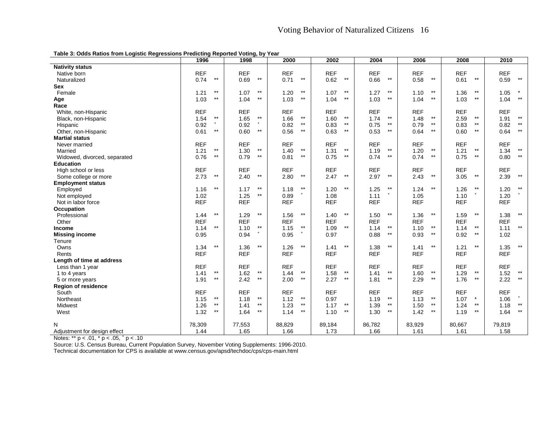**Table 3: Odds Ratios from Logistic Regressions Predicting Reported Voting, by Year**

|                              | 1996                    | 1998                    | 2000                    | 2002                    | 2004                    | 2006                    | 2008                    | 2010                    |
|------------------------------|-------------------------|-------------------------|-------------------------|-------------------------|-------------------------|-------------------------|-------------------------|-------------------------|
| <b>Nativity status</b>       |                         |                         |                         |                         |                         |                         |                         |                         |
| Native born                  | <b>REF</b>              | <b>REF</b>              | <b>REF</b>              | <b>REF</b>              | <b>REF</b>              | <b>REF</b>              | <b>REF</b>              | <b>REF</b>              |
| Naturalized                  | $\star\star$<br>0.74    | $\star\star$<br>0.69    | $^{\star\star}$<br>0.71 | $^{\star\star}$<br>0.62 | $\star\star$<br>0.66    | $^{\star\star}$<br>0.58 | $^{\star\star}$<br>0.61 | $\star\star$<br>0.59    |
| Sex                          |                         |                         |                         |                         |                         |                         |                         |                         |
| Female                       | $***$<br>1.21           | $***$<br>1.07           | $\star\star$<br>1.20    | $***$<br>1.07           | $\star\star$<br>1.27    | $***$<br>1.10           | $***$<br>1.36           | $\star$<br>1.05         |
| Age                          | $***$<br>1.03           | $\star\star$<br>1.04    | $***$<br>1.03           | $***$<br>1.04           | $^{\star\star}$<br>1.03 | $***$<br>1.04           | $***$<br>1.03           | $\star\star$<br>1.04    |
| Race                         |                         |                         |                         |                         |                         |                         |                         |                         |
| White, non-Hispanic          | <b>REF</b>              | <b>REF</b>              | <b>REF</b>              | <b>REF</b>              | <b>REF</b>              | <b>REF</b>              | <b>REF</b>              | <b>REF</b>              |
| Black, non-Hispanic          | $^{\star\star}$<br>1.54 | $***$<br>1.65           | $\star\star$<br>1.66    | $^{\star\star}$<br>1.60 | $\star\star$<br>1.74    | $\star\star$<br>1.48    | $^{\star\star}$<br>2.59 | $^{\star\star}$<br>1.91 |
| Hispanic                     | 0.92                    | 0.92                    | $\star\star$<br>0.82    | $\star\star$<br>0.83    | $\star\star$<br>0.75    | $***$<br>0.79           | $^{\star\star}$<br>0.83 | $***$<br>0.82           |
| Other, non-Hispanic          | $\star\star$<br>0.61    | $\star\star$<br>0.60    | $^{\star\star}$<br>0.56 | $\star\star$<br>0.63    | $\star\star$<br>0.53    | $***$<br>0.64           | $^{\star\star}$<br>0.60 | $\star\star$<br>0.64    |
| <b>Martial status</b>        |                         |                         |                         |                         |                         |                         |                         |                         |
| Never married                | <b>REF</b>              | <b>REF</b>              | <b>REF</b>              | <b>REF</b>              | <b>REF</b>              | <b>REF</b>              | <b>REF</b>              | <b>REF</b>              |
| Married                      | $^{\star\star}$<br>1.21 | $***$<br>1.30           | $^{\star\star}$<br>1.40 | $^{\star\star}$<br>1.31 | $^{\star\star}$<br>1.19 | $^{\star\star}$<br>1.20 | $***$<br>1.21           | $***$<br>1.34           |
| Widowed, divorced, separated | $***$<br>0.76           | $^{\star\star}$<br>0.79 | $***$<br>0.81           | $***$<br>0.75           | $\star\star$<br>0.74    | $***$<br>0.74           | $^{\star\star}$<br>0.75 | $^{\star\star}$<br>0.80 |
| <b>Education</b>             |                         |                         |                         |                         |                         |                         |                         |                         |
| High school or less          | <b>REF</b>              | <b>REF</b>              | <b>REF</b>              | <b>REF</b>              | <b>REF</b>              | <b>REF</b>              | <b>REF</b>              | <b>REF</b>              |
| Some college or more         | $\star\star$<br>2.73    | $\star\star$<br>2.40    | $^{\star\star}$<br>2.80 | $\star\star$<br>2.47    | $\star\star$<br>2.97    | $\star\star$<br>2.43    | $^{\star\star}$<br>3.05 | $\star\star$<br>2.39    |
| <b>Employment status</b>     |                         |                         |                         |                         |                         |                         |                         |                         |
| Employed                     | $^{\star\star}$<br>1.16 | $^{\star\star}$<br>1.17 | $***$<br>1.18           | $\star\star$<br>1.20    | $\star\star$<br>1.25    | $\star\star$<br>1.24    | $***$<br>1.26           | $^{\star\star}$<br>1.20 |
| Not employed                 | 1.02                    | $^{\star\star}$<br>1.25 | 0.89                    | 1.08                    | 1.11                    | 1.05                    | 1.10                    | 1.20                    |
| Not in labor force           | <b>REF</b>              | <b>REF</b>              | <b>REF</b>              | <b>REF</b>              | <b>REF</b>              | <b>REF</b>              | <b>REF</b>              | <b>REF</b>              |
| Occupation                   |                         |                         |                         |                         |                         |                         |                         |                         |
| Professional                 | $***$<br>1.44           | $***$<br>1.29           | $***$<br>1.56           | $***$<br>1.40           | $^{\star\star}$<br>1.50 | $***$<br>1.36           | $^{\star\star}$<br>1.59 | $***$<br>1.38           |
| Other                        | <b>REF</b>              | <b>REF</b>              | <b>REF</b>              | <b>REF</b>              | <b>REF</b>              | <b>REF</b>              | <b>REF</b>              | <b>REF</b>              |
| Income                       | $^{\star\star}$<br>1.14 | $***$<br>1.10           | $^{\star\star}$<br>1.15 | $\star\star$<br>1.09    | $***$<br>1.14           | $***$<br>1.10           | $***$<br>1.14           | $\star\star$<br>1.11    |
| <b>Missing income</b>        | 0.95                    | $\ddot{}$<br>0.94       | $+$<br>0.95             | 0.97                    | $\star\star$<br>0.88    | $\star\star$<br>0.93    | 0.92<br>$^{\star\star}$ | 1.02                    |
| Tenure                       |                         |                         |                         |                         |                         |                         |                         |                         |
| Owns                         | $\star\star$<br>1.34    | $^{\star\star}$<br>1.36 | $^{\star\star}$<br>1.26 | $\star\star$<br>1.41    | $\star\star$<br>1.38    | $\star\star$<br>1.41    | $^{\star\star}$<br>1.21 | $\star\star$<br>1.35    |
| Rents                        | <b>REF</b>              | <b>REF</b>              | <b>REF</b>              | <b>REF</b>              | <b>REF</b>              | <b>REF</b>              | <b>REF</b>              | <b>REF</b>              |
| Length of time at address    |                         |                         |                         |                         |                         |                         |                         |                         |
| Less than 1 year             | <b>REF</b>              | <b>REF</b>              | <b>REF</b>              | <b>REF</b>              | <b>REF</b>              | <b>REF</b>              | <b>REF</b>              | <b>REF</b>              |
| 1 to 4 years                 | $***$<br>1.41           | 1.62<br>$***$           | $***$<br>1.44           | $^{\star\star}$<br>1.58 | $***$<br>1.41           | $***$<br>1.60           | $***$<br>1.29           | $***$<br>1.52           |
| 5 or more years              | $^{\star\star}$<br>1.91 | $^{\star\star}$<br>2.42 | $^{\star\star}$<br>2.00 | $\star\star$<br>2.27    | $\star\star$<br>1.81    | $^{\star\star}$<br>2.29 | $***$<br>1.76           | 2.22<br>$^{\star\star}$ |
| <b>Region of residence</b>   |                         |                         |                         |                         |                         |                         |                         |                         |
| South                        | <b>REF</b>              | <b>REF</b>              | <b>REF</b>              | <b>REF</b>              | <b>REF</b>              | <b>REF</b>              | <b>REF</b>              | <b>REF</b>              |
| Northeast                    | $^{\star\star}$<br>1.15 | $^{\star\star}$<br>1.18 | $\star\star$<br>1.12    | 0.97                    | $\star\star$<br>1.19    | $\star\star$<br>1.13    | 1.07<br>$\star$         | $+$<br>1.06             |
| Midwest                      | $***$<br>1.26           | $^{\star\star}$<br>1.41 | $***$<br>1.23           | $\star\star$<br>1.17    | $\star\star$<br>1.39    | $***$<br>1.50           | $^{\star\star}$<br>1.24 | $***$<br>1.18           |
| West                         | $\star\star$<br>1.32    | $^{\star\star}$<br>1.64 | $^{\star\star}$<br>1.14 | $^{\star\star}$<br>1.10 | $\star\star$<br>1.30    | $^{\star\star}$<br>1.42 | 1.19<br>$***$           | $\star\star$<br>1.64    |
|                              |                         |                         |                         |                         |                         |                         |                         |                         |
| N                            | 78,309                  | 77,553                  | 88,829                  | 89,184                  | 86,782                  | 83,929                  | 80,667                  | 79,819                  |
| Adjustment for design effect | 1.44                    | 1.65                    | 1.66                    | 1.73                    | 1.66                    | 1.61                    | 1.61                    | 1.58                    |

Notes: \*\* p < .01, \* p < .05, <sup>+</sup> p < .10

Source: U.S. Census Bureau, Current Population Survey, November Voting Supplements: 1996-2010.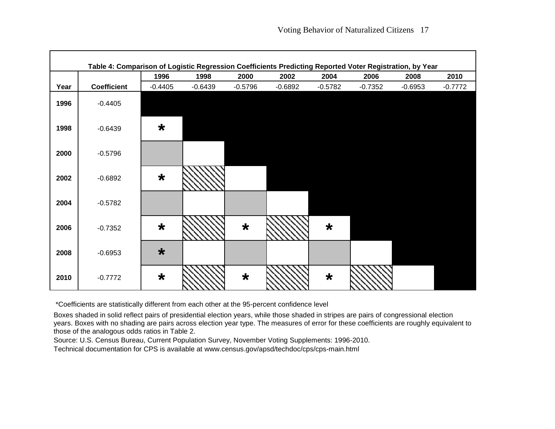|      | Table 4: Comparison of Logistic Regression Coefficients Predicting Reported Voter Registration, by Year |           |           |           |           |           |           |           |           |
|------|---------------------------------------------------------------------------------------------------------|-----------|-----------|-----------|-----------|-----------|-----------|-----------|-----------|
|      |                                                                                                         | 1996      | 1998      | 2000      | 2002      | 2004      | 2006      | 2008      | 2010      |
| Year | <b>Coefficient</b>                                                                                      | $-0.4405$ | $-0.6439$ | $-0.5796$ | $-0.6892$ | $-0.5782$ | $-0.7352$ | $-0.6953$ | $-0.7772$ |
| 1996 | $-0.4405$                                                                                               |           |           |           |           |           |           |           |           |
| 1998 | $-0.6439$                                                                                               | $\star$   |           |           |           |           |           |           |           |
| 2000 | $-0.5796$                                                                                               |           |           |           |           |           |           |           |           |
| 2002 | $-0.6892$                                                                                               | $\star$   |           |           |           |           |           |           |           |
| 2004 | $-0.5782$                                                                                               |           |           |           |           |           |           |           |           |
| 2006 | $-0.7352$                                                                                               | $\star$   |           | $\star$   |           | $\star$   |           |           |           |
| 2008 | $-0.6953$                                                                                               | $\star$   |           |           |           |           |           |           |           |
| 2010 | $-0.7772$                                                                                               | $\star$   |           | $\star$   |           | $\star$   |           |           |           |

\*Coefficients are statistically different from each other at the 95-percent confidence level

Boxes shaded in solid reflect pairs of presidential election years, while those shaded in stripes are pairs of congressional election years. Boxes with no shading are pairs across election year type. The measures of error for these coefficients are roughly equivalent to those of the analogous odds ratios in Table 2.

Source: U.S. Census Bureau, Current Population Survey, November Voting Supplements: 1996-2010.